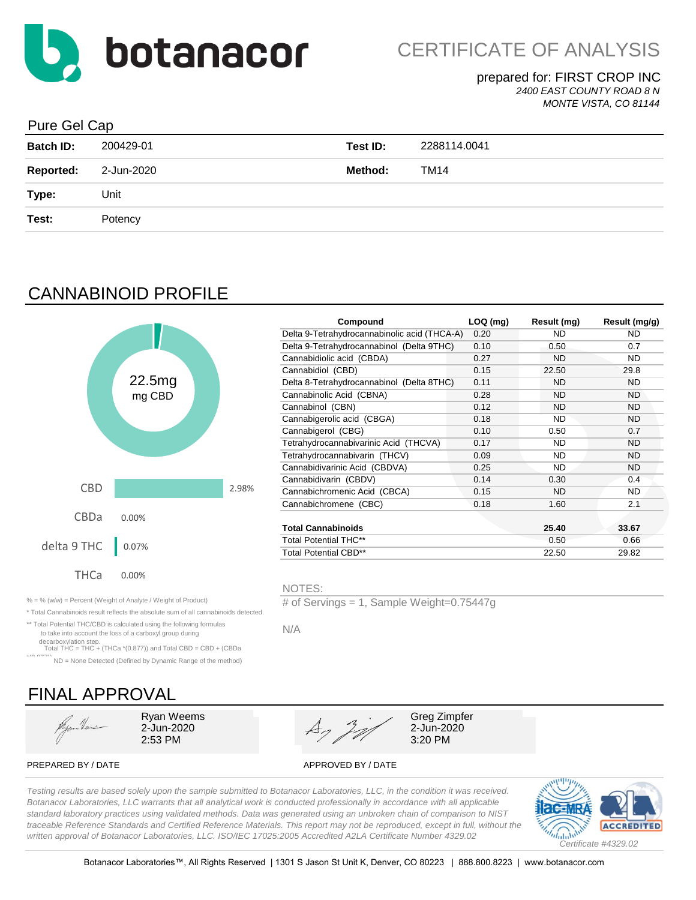

#### prepared for: FIRST CROP INC *2400 EAST COUNTY ROAD 8 N*

*MONTE VISTA, CO 81144*

### Pure Gel Cap

| <b>Batch ID:</b> | 200429-01  | Test ID: | 2288114.0041 |
|------------------|------------|----------|--------------|
| <b>Reported:</b> | 2-Jun-2020 | Method:  | TM14         |
| Type:            | Unit       |          |              |
| Test:            | Potency    |          |              |
|                  |            |          |              |

# CANNABINOID PROFILE



|        |                           | Compound                                     | $LOQ$ (mg) | Result (mg) | Result (mg/g) |
|--------|---------------------------|----------------------------------------------|------------|-------------|---------------|
|        |                           | Delta 9-Tetrahydrocannabinolic acid (THCA-A) | 0.20       | ND.         | ND.           |
|        |                           | Delta 9-Tetrahydrocannabinol (Delta 9THC)    | 0.10       | 0.50        | 0.7           |
|        |                           | Cannabidiolic acid (CBDA)                    | 0.27       | <b>ND</b>   | ND.           |
|        |                           | Cannabidiol (CBD)                            | 0.15       | 22.50       | 29.8          |
| 22.5mg |                           | Delta 8-Tetrahydrocannabinol (Delta 8THC)    | 0.11       | <b>ND</b>   | <b>ND</b>     |
| mg CBD |                           | Cannabinolic Acid (CBNA)                     | 0.28       | <b>ND</b>   | <b>ND</b>     |
|        |                           | Cannabinol (CBN)                             | 0.12       | <b>ND</b>   | <b>ND</b>     |
|        |                           | Cannabigerolic acid (CBGA)                   | 0.18       | ND          | <b>ND</b>     |
|        |                           | Cannabigerol (CBG)                           | 0.10       | 0.50        | 0.7           |
|        |                           | Tetrahydrocannabivarinic Acid (THCVA)        | 0.17       | <b>ND</b>   | <b>ND</b>     |
|        |                           | Tetrahydrocannabivarin (THCV)                | 0.09       | <b>ND</b>   | <b>ND</b>     |
|        |                           | Cannabidivarinic Acid (CBDVA)                | 0.25       | <b>ND</b>   | <b>ND</b>     |
|        |                           | Cannabidivarin (CBDV)                        | 0.14       | 0.30        | 0.4           |
|        | 2.98%                     | Cannabichromenic Acid (CBCA)                 | 0.15       | <b>ND</b>   | <b>ND</b>     |
|        |                           | Cannabichromene (CBC)                        | 0.18       | 1.60        | 2.1           |
| 10%    |                           |                                              |            |             |               |
|        | <b>Total Cannabinoids</b> |                                              |            | 25.40       | 33.67         |
| 07%    |                           | <b>Total Potential THC**</b>                 |            | 0.50        | 0.66          |
|        |                           | <b>Total Potential CBD**</b>                 |            | 22.50       | 29.82         |
|        |                           |                                              |            |             |               |

#### NOTES:

% = % (w/w) = Percent (Weight of Analyte / Weight of Product) # of Servings = 1, Sample Weight=0.75447g

N/A

\*\* Total Potential THC/CBD is calculated using the following formulas to take into account the loss of a carboxyl group during decarboxylation step. Total THC = THC + (THCa \*(0.877)) and Total CBD = CBD + (CBDa

\* Total Cannabinoids result reflects the absolute sum of all cannabinoids detected.

\*(0.877)) ND = None Detected (Defined by Dynamic Range of the method)

# FINAL APPROVAL

Hyan Heus



PREPARED BY / DATE APPROVED BY / DATE

*Testing results are based solely upon the sample submitted to Botanacor Laboratories, LLC, in the condition it was received. Botanacor Laboratories, LLC warrants that all analytical work is conducted professionally in accordance with all applicable standard laboratory practices using validated methods. Data was generated using an unbroken chain of comparison to NIST traceable Reference Standards and Certified Reference Materials. This report may not be reproduced, except in full, without the written approval of Botanacor Laboratories, LLC. ISO/IEC 17025:2005 Accredited A2LA Certificate Number 4329.02*

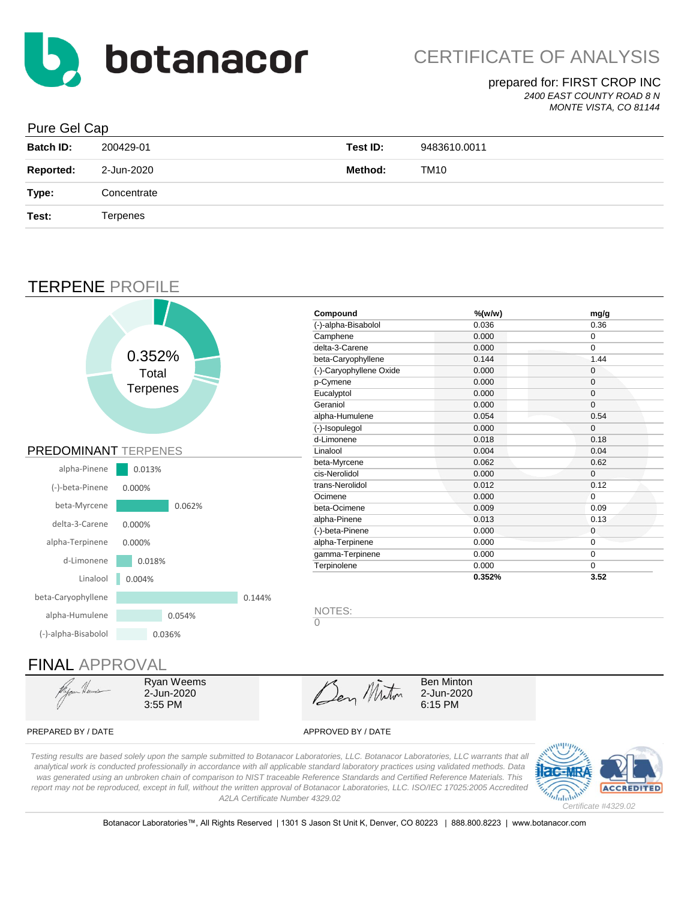

*2400 EAST COUNTY ROAD 8 N*

#### *MONTE VISTA, CO 81144*

### Pure Gel Cap

| <b>Batch ID:</b> | 200429-01   | Test ID: | 9483610.0011 |
|------------------|-------------|----------|--------------|
| <b>Reported:</b> | 2-Jun-2020  | Method:  | <b>TM10</b>  |
| Type:            | Concentrate |          |              |
| Test:            | Terpenes    |          |              |
|                  |             |          |              |

### TERPENE PROFILE



Ryan Weems 2-Jun-2020 3:55 PM

Den Miton

2-Jun-2020 6:15 PM

#### PREPARED BY / DATE APPROVED BY / DATE

*Testing results are based solely upon the sample submitted to Botanacor Laboratories, LLC. Botanacor Laboratories, LLC warrants that all analytical work is conducted professionally in accordance with all applicable standard laboratory practices using validated methods. Data was generated using an unbroken chain of comparison to NIST traceable Reference Standards and Certified Reference Materials. This report may not be reproduced, except in full, without the written approval of Botanacor Laboratories, LLC. ISO/IEC 17025:2005 Accredited A2LA Certificate Number 4329.02*



Botanacor Laboratories™, All Rights Reserved | 1301 S Jason St Unit K, Denver, CO 80223 | 888.800.8223 | www.botanacor.com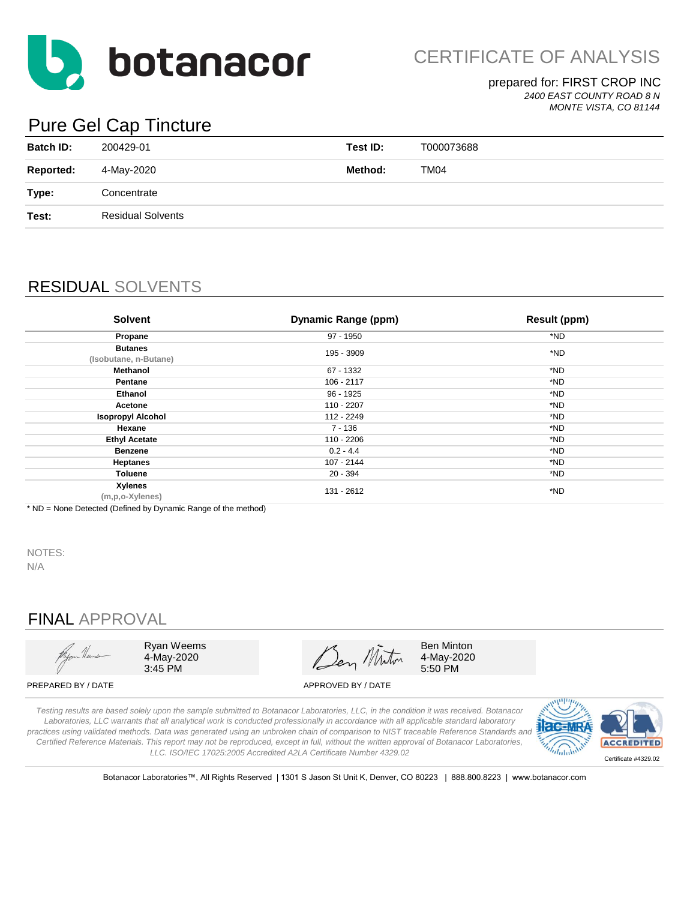

CERTIFICATE OF ANALYSIS

### prepared for: FIRST CROP INC

*2400 EAST COUNTY ROAD 8 N MONTE VISTA, CO 81144*

# Pure Gel Cap Tincture

| <b>Batch ID:</b> | 200429-01                | Test ID: | T000073688 |
|------------------|--------------------------|----------|------------|
| <b>Reported:</b> | 4-May-2020               | Method:  | TM04       |
| Type:            | Concentrate              |          |            |
| Test:            | <b>Residual Solvents</b> |          |            |
|                  |                          |          |            |

# RESIDUAL SOLVENTS

| <b>Solvent</b>                          | Dynamic Range (ppm) | <b>Result (ppm)</b> |
|-----------------------------------------|---------------------|---------------------|
| Propane                                 | 97 - 1950           | *ND                 |
| <b>Butanes</b><br>(Isobutane, n-Butane) | 195 - 3909          | *ND                 |
| Methanol                                | 67 - 1332           | *ND                 |
| Pentane                                 | 106 - 2117          | *ND                 |
| <b>Ethanol</b>                          | 96 - 1925           | *ND                 |
| Acetone                                 | 110 - 2207          | *ND                 |
| <b>Isopropyl Alcohol</b>                | 112 - 2249          | *ND                 |
| Hexane                                  | 7 - 136             | *ND                 |
| <b>Ethyl Acetate</b>                    | 110 - 2206          | *ND                 |
| <b>Benzene</b>                          | $0.2 - 4.4$         | *ND                 |
| <b>Heptanes</b>                         | 107 - 2144          | *ND                 |
| Toluene                                 | $20 - 394$          | *ND                 |
| Xylenes<br>(m,p,o-Xylenes)              | 131 - 2612          | *ND                 |

\* ND = None Detected (Defined by Dynamic Range of the method)

NOTES: N/A

# FINAL APPROVAL



Ryan Weems 4-May-2020 3:45 PM

Ben Miton

Ben Minton 4-May-2020 5:50 PM

PREPARED BY / DATE APPROVED BY / DATE

*Testing results are based solely upon the sample submitted to Botanacor Laboratories, LLC, in the condition it was received. Botanacor Laboratories, LLC warrants that all analytical work is conducted professionally in accordance with all applicable standard laboratory practices using validated methods. Data was generated using an unbroken chain of comparison to NIST traceable Reference Standards and Certified Reference Materials. This report may not be reproduced, except in full, without the written approval of Botanacor Laboratories, LLC. ISO/IEC 17025:2005 Accredited A2LA Certificate Number 4329.02*



Botanacor Laboratories™, All Rights Reserved | 1301 S Jason St Unit K, Denver, CO 80223 | 888.800.8223 | www.botanacor.com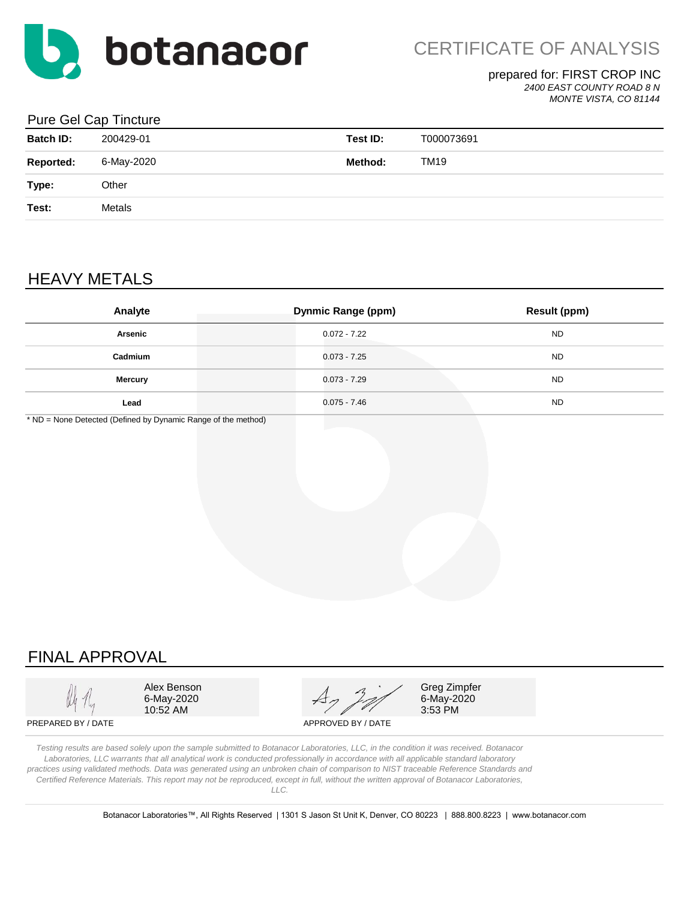

*2400 EAST COUNTY ROAD 8 N*

*MONTE VISTA, CO 81144*

#### Pure Gel Cap Tincture

| <b>Batch ID:</b> | 200429-01  | Test ID: | T000073691  |
|------------------|------------|----------|-------------|
| <b>Reported:</b> | 6-May-2020 | Method:  | <b>TM19</b> |
| Type:            | Other      |          |             |
| Test:            | Metals     |          |             |
|                  |            |          |             |

# HEAVY METALS

| Analyte        | <b>Dynmic Range (ppm)</b> | <b>Result (ppm)</b> |
|----------------|---------------------------|---------------------|
| Arsenic        | $0.072 - 7.22$            | <b>ND</b>           |
| Cadmium        | 0.073 - 7.25              | <b>ND</b>           |
| <b>Mercury</b> | $0.073 - 7.29$            | <b>ND</b>           |
| Lead           | $0.075 - 7.46$            | <b>ND</b>           |

\* ND = None Detected (Defined by Dynamic Range of the method)

# FINAL APPROVAL

 $10:52$  AM 6-May-2020

Alex Benson Alex Benson Alex Benson Alex Alex Alex Benson

6-May-2020

PREPARED BY / DATE APPROVED BY / DATE

*Testing results are based solely upon the sample submitted to Botanacor Laboratories, LLC, in the condition it was received. Botanacor Laboratories, LLC warrants that all analytical work is conducted professionally in accordance with all applicable standard laboratory practices using validated methods. Data was generated using an unbroken chain of comparison to NIST traceable Reference Standards and Certified Reference Materials. This report may not be reproduced, except in full, without the written approval of Botanacor Laboratories, LLC.*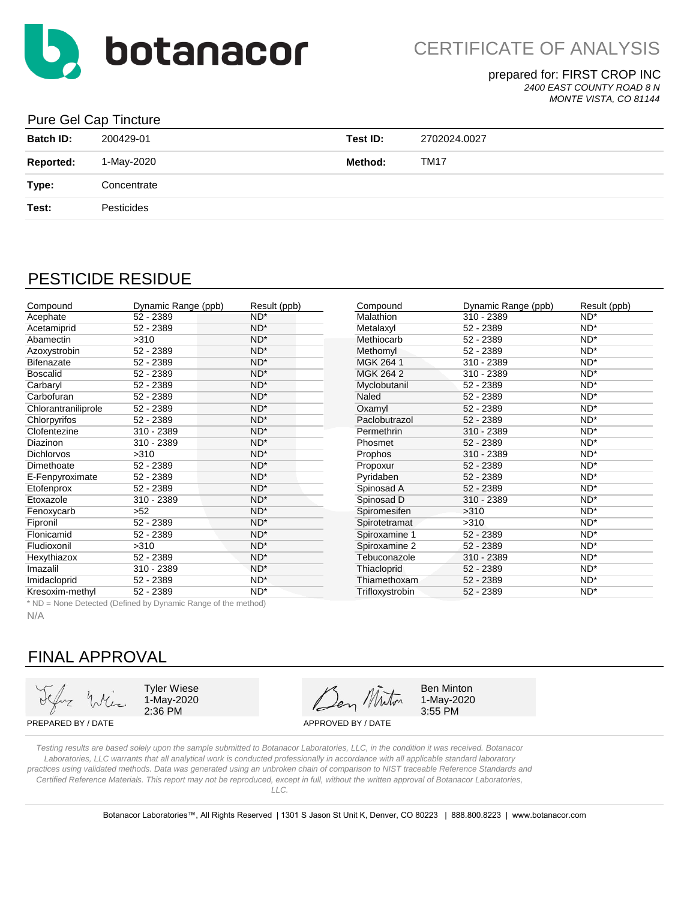

*2400 EAST COUNTY ROAD 8 N*

#### *MONTE VISTA, CO 81144*

#### Pure Gel Cap Tincture

| <b>Batch ID:</b> | 200429-01   | Test ID: | 2702024.0027 |
|------------------|-------------|----------|--------------|
| <b>Reported:</b> | 1-May-2020  | Method:  | <b>TM17</b>  |
| Type:            | Concentrate |          |              |
| Test:            | Pesticides  |          |              |
|                  |             |          |              |

### PESTICIDE RESIDUE

| Compound            | Dynamic Range (ppb) | Result (ppb)    | Compound        | Dynamic Range (ppb) | Result (ppb)    |
|---------------------|---------------------|-----------------|-----------------|---------------------|-----------------|
| Acephate            | 52 - 2389           | $ND^*$          | Malathion       | 310 - 2389          | $ND^*$          |
| Acetamiprid         | 52 - 2389           | ND <sup>*</sup> | Metalaxyl       | 52 - 2389           | $ND^*$          |
| Abamectin           | >310                | $ND^*$          | Methiocarb      | 52 - 2389           | $ND^*$          |
| Azoxystrobin        | 52 - 2389           | $ND^*$          | Methomyl        | 52 - 2389           | $ND^*$          |
| Bifenazate          | 52 - 2389           | $ND^*$          | MGK 264 1       | 310 - 2389          | $ND^*$          |
| <b>Boscalid</b>     | 52 - 2389           | $ND^*$          | MGK 264 2       | 310 - 2389          | $ND^*$          |
| Carbaryl            | 52 - 2389           | $ND^*$          | Myclobutanil    | 52 - 2389           | $ND^*$          |
| Carbofuran          | 52 - 2389           | $ND^*$          | Naled           | 52 - 2389           | $ND^*$          |
| Chlorantraniliprole | 52 - 2389           | $ND^*$          | Oxamyl          | 52 - 2389           | $ND^*$          |
| Chlorpyrifos        | 52 - 2389           | $ND^*$          | Paclobutrazol   | 52 - 2389           | $ND^*$          |
| Clofentezine        | 310 - 2389          | $ND^*$          | Permethrin      | 310 - 2389          | $ND^*$          |
| Diazinon            | 310 - 2389          | $ND^*$          | Phosmet         | 52 - 2389           | $ND^*$          |
| <b>Dichlorvos</b>   | >310                | ND <sup>*</sup> | Prophos         | 310 - 2389          | $ND^*$          |
| Dimethoate          | 52 - 2389           | $ND^*$          | Propoxur        | 52 - 2389           | $ND^*$          |
| E-Fenpyroximate     | 52 - 2389           | $ND^*$          | Pyridaben       | 52 - 2389           | $ND^*$          |
| Etofenprox          | 52 - 2389           | $ND^*$          | Spinosad A      | 52 - 2389           | $ND^*$          |
| Etoxazole           | 310 - 2389          | ND <sup>*</sup> | Spinosad D      | 310 - 2389          | ND <sup>*</sup> |
| Fenoxycarb          | $>52$               | $ND^*$          | Spiromesifen    | >310                | $ND^*$          |
| Fipronil            | 52 - 2389           | $ND^*$          | Spirotetramat   | >310                | $ND^*$          |
| Flonicamid          | 52 - 2389           | $ND^*$          | Spiroxamine 1   | 52 - 2389           | $ND^*$          |
| Fludioxonil         | >310                | $ND^*$          | Spiroxamine 2   | 52 - 2389           | $ND^*$          |
| Hexythiazox         | 52 - 2389           | ND <sup>*</sup> | Tebuconazole    | 310 - 2389          | ND*             |
| Imazalil            | 310 - 2389          | $ND^*$          | Thiacloprid     | 52 - 2389           | $ND^*$          |
| Imidacloprid        | 52 - 2389           | ND*             | Thiamethoxam    | 52 - 2389           | $ND^*$          |
| Kresoxim-methyl     | 52 - 2389           | $ND^*$          | Trifloxystrobin | 52 - 2389           | $ND^*$          |

| Compound       | Dynamic Range (ppb) | Result (ppb)    |
|----------------|---------------------|-----------------|
| Malathion      | 310 - 2389          | $ND^*$          |
| Metalaxyl      | 52 - 2389           | ND <sup>*</sup> |
| Methiocarb     | 52 - 2389           | ND*             |
| Methomyl       | 52 - 2389           | ND*             |
| MGK 264 1      | 310 - 2389          | ND*             |
| MGK 264 2      | 310 - 2389          | ND <sup>*</sup> |
| Myclobutanil   | 52 - 2389           | $ND^*$          |
| Naled          | 52 - 2389           | $ND^*$          |
| Oxamyl         | 52 - 2389           | $ND^*$          |
| Paclobutrazol  | 52 - 2389           | $ND^*$          |
| Permethrin     | 310 - 2389          | ND*             |
| Phosmet        | 52 - 2389           | ND <sup>*</sup> |
| Prophos        | 310 - 2389          | $ND^*$          |
| Propoxur       | 52 - 2389           | $ND^*$          |
| Pyridaben      | 52 - 2389           | $ND^*$          |
| Spinosad A     | 52 - 2389           | $ND^*$          |
| Spinosad D     | 310 - 2389          | ND*             |
| Spiromesifen   | >310                | $ND^*$          |
| Spirotetramat  | >310                | ND <sup>*</sup> |
| Spiroxamine 1  | 52 - 2389           | ND*             |
| Spiroxamine 2  | 52 - 2389           | ND*             |
| Tebuconazole   | 310 - 2389          | $ND^*$          |
| Thiacloprid    | 52 - 2389           | ND <sup>*</sup> |
| Thiamethoxam   | 52 - 2389           | $ND^*$          |
| Triflowntrobin | よつ<br>coco          | <b>NIN*</b>     |

\* ND = None Detected (Defined by Dynamic Range of the method)

N/A

# FINAL APPROVAL

1-May-2020

2:36 PM 3:55 PM Tyler Wiese  $\overline{A}$   $\overline{A}$  Ben Minton

1-May-2020

PREPARED BY / DATE APPROVED BY / DATE

*Testing results are based solely upon the sample submitted to Botanacor Laboratories, LLC, in the condition it was received. Botanacor Laboratories, LLC warrants that all analytical work is conducted professionally in accordance with all applicable standard laboratory practices using validated methods. Data was generated using an unbroken chain of comparison to NIST traceable Reference Standards and Certified Reference Materials. This report may not be reproduced, except in full, without the written approval of Botanacor Laboratories,* 

*LLC.*